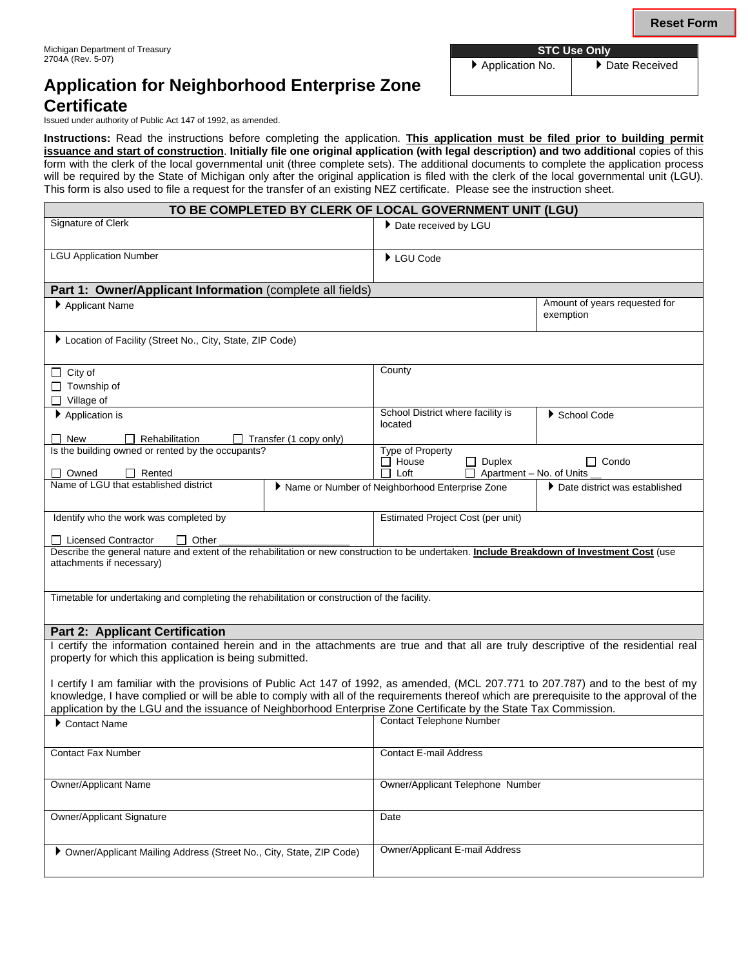# **Application for Neighborhood Enterprise Zone Certificate**

Issued under authority of Public Act 147 of 1992, as amended.

**Instructions:** Read the instructions before completing the application. **This application must be filed prior to building permit issuance and start of construction**. **Initially file one original application (with legal description) and two additional** copies of this form with the clerk of the local governmental unit (three complete sets). The additional documents to complete the application process will be required by the State of Michigan only after the original application is filed with the clerk of the local governmental unit (LGU). This form is also used to file a request for the transfer of an existing NEZ certificate. Please see the instruction sheet.

| TO BE COMPLETED BY CLERK OF LOCAL GOVERNMENT UNIT (LGU)                                                                                                                                                                                                     |                                                |                                                             |                                 |                                            |  |
|-------------------------------------------------------------------------------------------------------------------------------------------------------------------------------------------------------------------------------------------------------------|------------------------------------------------|-------------------------------------------------------------|---------------------------------|--------------------------------------------|--|
| Signature of Clerk                                                                                                                                                                                                                                          |                                                | Date received by LGU                                        |                                 |                                            |  |
|                                                                                                                                                                                                                                                             |                                                |                                                             |                                 |                                            |  |
| <b>LGU Application Number</b>                                                                                                                                                                                                                               |                                                | $\blacktriangleright$ LGU Code                              |                                 |                                            |  |
|                                                                                                                                                                                                                                                             |                                                |                                                             |                                 |                                            |  |
| Part 1: Owner/Applicant Information (complete all fields)                                                                                                                                                                                                   |                                                |                                                             |                                 |                                            |  |
| Applicant Name                                                                                                                                                                                                                                              |                                                |                                                             |                                 | Amount of years requested for<br>exemption |  |
|                                                                                                                                                                                                                                                             |                                                |                                                             |                                 |                                            |  |
| Location of Facility (Street No., City, State, ZIP Code)                                                                                                                                                                                                    |                                                |                                                             |                                 |                                            |  |
|                                                                                                                                                                                                                                                             |                                                |                                                             |                                 |                                            |  |
| $\Box$ City of                                                                                                                                                                                                                                              |                                                | County                                                      |                                 |                                            |  |
| $\Box$ Township of                                                                                                                                                                                                                                          |                                                |                                                             |                                 |                                            |  |
| $\Box$ Village of                                                                                                                                                                                                                                           |                                                |                                                             |                                 |                                            |  |
| $\blacktriangleright$ Application is                                                                                                                                                                                                                        |                                                | School District where facility is<br>School Code<br>located |                                 |                                            |  |
| $\Box$ New<br>Rehabilitation                                                                                                                                                                                                                                |                                                |                                                             |                                 |                                            |  |
| $\Box$ Transfer (1 copy only)<br>Is the building owned or rented by the occupants?                                                                                                                                                                          |                                                | Type of Property                                            |                                 |                                            |  |
|                                                                                                                                                                                                                                                             |                                                | $\Box$ House                                                | $\Box$ Duplex                   | $\Box$ Condo                               |  |
| □ Owned<br>Rented<br>Name of LGU that established district                                                                                                                                                                                                  | Name or Number of Neighborhood Enterprise Zone | Loft                                                        | $\Box$ Apartment – No. of Units | ▶ Date district was established            |  |
|                                                                                                                                                                                                                                                             |                                                |                                                             |                                 |                                            |  |
| Identify who the work was completed by                                                                                                                                                                                                                      |                                                | <b>Estimated Project Cost (per unit)</b>                    |                                 |                                            |  |
|                                                                                                                                                                                                                                                             |                                                |                                                             |                                 |                                            |  |
| $\Box$ Licensed Contractor<br>Other<br>$\Box$<br>Describe the general nature and extent of the rehabilitation or new construction to be undertaken. Include Breakdown of Investment Cost (use                                                               |                                                |                                                             |                                 |                                            |  |
| attachments if necessary)                                                                                                                                                                                                                                   |                                                |                                                             |                                 |                                            |  |
|                                                                                                                                                                                                                                                             |                                                |                                                             |                                 |                                            |  |
| Timetable for undertaking and completing the rehabilitation or construction of the facility.                                                                                                                                                                |                                                |                                                             |                                 |                                            |  |
|                                                                                                                                                                                                                                                             |                                                |                                                             |                                 |                                            |  |
| <b>Part 2: Applicant Certification</b>                                                                                                                                                                                                                      |                                                |                                                             |                                 |                                            |  |
| I certify the information contained herein and in the attachments are true and that all are truly descriptive of the residential real                                                                                                                       |                                                |                                                             |                                 |                                            |  |
| property for which this application is being submitted.                                                                                                                                                                                                     |                                                |                                                             |                                 |                                            |  |
|                                                                                                                                                                                                                                                             |                                                |                                                             |                                 |                                            |  |
| I certify I am familiar with the provisions of Public Act 147 of 1992, as amended, (MCL 207.771 to 207.787) and to the best of my                                                                                                                           |                                                |                                                             |                                 |                                            |  |
| knowledge, I have complied or will be able to comply with all of the requirements thereof which are prerequisite to the approval of the<br>application by the LGU and the issuance of Neighborhood Enterprise Zone Certificate by the State Tax Commission. |                                                |                                                             |                                 |                                            |  |
| Contact Name                                                                                                                                                                                                                                                |                                                | <b>Contact Telephone Number</b>                             |                                 |                                            |  |
|                                                                                                                                                                                                                                                             |                                                |                                                             |                                 |                                            |  |
| <b>Contact Fax Number</b>                                                                                                                                                                                                                                   |                                                |                                                             | <b>Contact E-mail Address</b>   |                                            |  |
|                                                                                                                                                                                                                                                             |                                                |                                                             |                                 |                                            |  |
| <b>Owner/Applicant Name</b>                                                                                                                                                                                                                                 |                                                | Owner/Applicant Telephone Number                            |                                 |                                            |  |
|                                                                                                                                                                                                                                                             |                                                |                                                             |                                 |                                            |  |
| <b>Owner/Applicant Signature</b>                                                                                                                                                                                                                            |                                                | Date                                                        |                                 |                                            |  |
|                                                                                                                                                                                                                                                             |                                                |                                                             |                                 |                                            |  |
| ▶ Owner/Applicant Mailing Address (Street No., City, State, ZIP Code)                                                                                                                                                                                       |                                                | Owner/Applicant E-mail Address                              |                                 |                                            |  |
|                                                                                                                                                                                                                                                             |                                                |                                                             |                                 |                                            |  |

▶ Application No. │ ▶ Date Received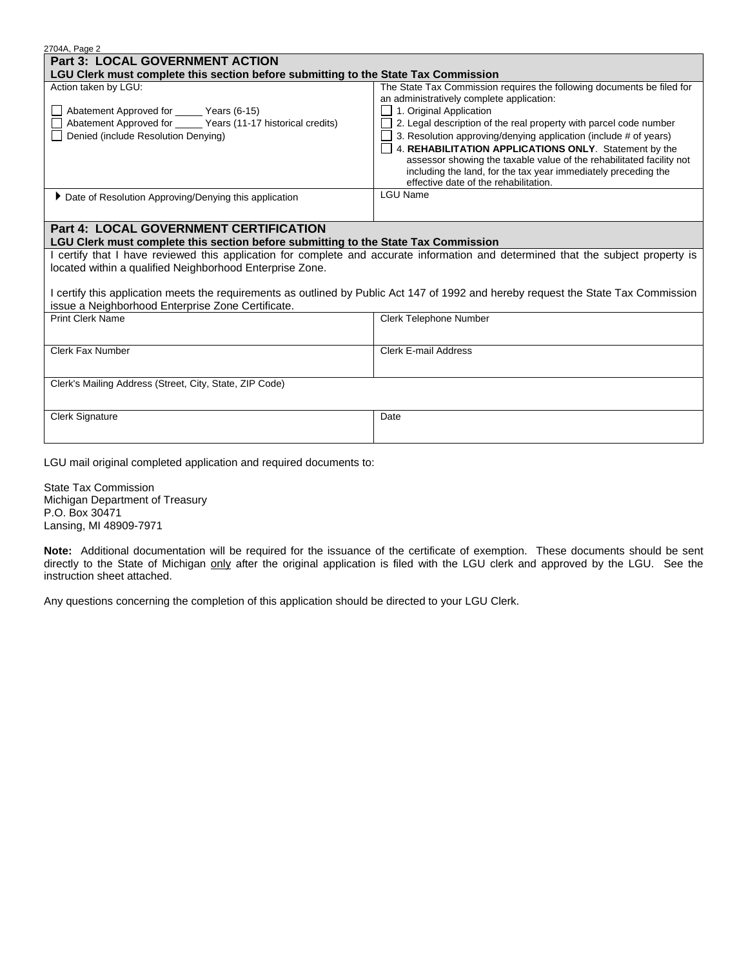| 2704A, Page 2                                                                                                                       |                                                                                                                                        |  |  |  |  |
|-------------------------------------------------------------------------------------------------------------------------------------|----------------------------------------------------------------------------------------------------------------------------------------|--|--|--|--|
| <b>Part 3: LOCAL GOVERNMENT ACTION</b>                                                                                              |                                                                                                                                        |  |  |  |  |
| LGU Clerk must complete this section before submitting to the State Tax Commission                                                  |                                                                                                                                        |  |  |  |  |
| Action taken by LGU:                                                                                                                | The State Tax Commission requires the following documents be filed for                                                                 |  |  |  |  |
|                                                                                                                                     | an administratively complete application:                                                                                              |  |  |  |  |
| Abatement Approved for ______ Years (6-15)                                                                                          | 1. Original Application                                                                                                                |  |  |  |  |
| Abatement Approved for ______ Years (11-17 historical credits)                                                                      | 2. Legal description of the real property with parcel code number                                                                      |  |  |  |  |
| Denied (include Resolution Denying)                                                                                                 | 3. Resolution approving/denying application (include # of years)                                                                       |  |  |  |  |
|                                                                                                                                     | 4. REHABILITATION APPLICATIONS ONLY. Statement by the                                                                                  |  |  |  |  |
|                                                                                                                                     | assessor showing the taxable value of the rehabilitated facility not<br>including the land, for the tax year immediately preceding the |  |  |  |  |
|                                                                                                                                     | effective date of the rehabilitation.                                                                                                  |  |  |  |  |
| ▶ Date of Resolution Approving/Denying this application                                                                             | <b>LGU Name</b>                                                                                                                        |  |  |  |  |
|                                                                                                                                     |                                                                                                                                        |  |  |  |  |
|                                                                                                                                     |                                                                                                                                        |  |  |  |  |
| <b>Part 4: LOCAL GOVERNMENT CERTIFICATION</b>                                                                                       |                                                                                                                                        |  |  |  |  |
| LGU Clerk must complete this section before submitting to the State Tax Commission                                                  |                                                                                                                                        |  |  |  |  |
| certify that I have reviewed this application for complete and accurate information and determined that the subject property is     |                                                                                                                                        |  |  |  |  |
| located within a qualified Neighborhood Enterprise Zone.                                                                            |                                                                                                                                        |  |  |  |  |
|                                                                                                                                     |                                                                                                                                        |  |  |  |  |
| I certify this application meets the requirements as outlined by Public Act 147 of 1992 and hereby request the State Tax Commission |                                                                                                                                        |  |  |  |  |
| issue a Neighborhood Enterprise Zone Certificate.<br><b>Print Clerk Name</b>                                                        | Clerk Telephone Number                                                                                                                 |  |  |  |  |
|                                                                                                                                     |                                                                                                                                        |  |  |  |  |
|                                                                                                                                     |                                                                                                                                        |  |  |  |  |
| <b>Clerk Fax Number</b>                                                                                                             | Clerk E-mail Address                                                                                                                   |  |  |  |  |
|                                                                                                                                     |                                                                                                                                        |  |  |  |  |
| Clerk's Mailing Address (Street, City, State, ZIP Code)                                                                             |                                                                                                                                        |  |  |  |  |
|                                                                                                                                     |                                                                                                                                        |  |  |  |  |
|                                                                                                                                     |                                                                                                                                        |  |  |  |  |
| <b>Clerk Signature</b>                                                                                                              | Date                                                                                                                                   |  |  |  |  |
|                                                                                                                                     |                                                                                                                                        |  |  |  |  |
|                                                                                                                                     |                                                                                                                                        |  |  |  |  |

LGU mail original completed application and required documents to:

State Tax Commission Michigan Department of Treasury P.O. Box 30471 Lansing, MI 48909-7971

**Note:** Additional documentation will be required for the issuance of the certificate of exemption. These documents should be sent directly to the State of Michigan only after the original application is filed with the LGU clerk and approved by the LGU. See the instruction sheet attached.

Any questions concerning the completion of this application should be directed to your LGU Clerk.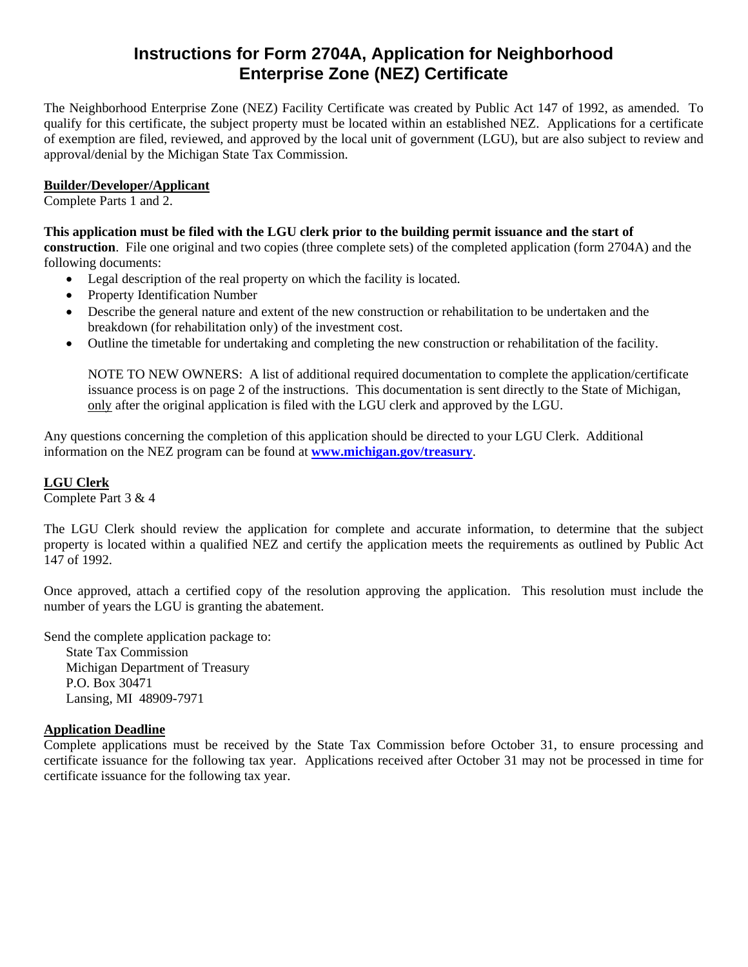# **Instructions for Form 2704A, Application for Neighborhood Enterprise Zone (NEZ) Certificate**

The Neighborhood Enterprise Zone (NEZ) Facility Certificate was created by Public Act 147 of 1992, as amended. To qualify for this certificate, the subject property must be located within an established NEZ. Applications for a certificate of exemption are filed, reviewed, and approved by the local unit of government (LGU), but are also subject to review and approval/denial by the Michigan State Tax Commission.

# **Builder/Developer/Applicant**

Complete Parts 1 and 2.

## **This application must be filed with the LGU clerk prior to the building permit issuance and the start of**

**construction**. File one original and two copies (three complete sets) of the completed application (form 2704A) and the following documents:

- Legal description of the real property on which the facility is located.
- Property Identification Number
- Describe the general nature and extent of the new construction or rehabilitation to be undertaken and the breakdown (for rehabilitation only) of the investment cost.
- Outline the timetable for undertaking and completing the new construction or rehabilitation of the facility.

NOTE TO NEW OWNERS: A list of additional required documentation to complete the application/certificate issuance process is on page 2 of the instructions. This documentation is sent directly to the State of Michigan, only after the original application is filed with the LGU clerk and approved by the LGU.

Any questions concerning the completion of this application should be directed to your LGU Clerk. Additional information on the NEZ program can be found at **www.michigan.gov/treasury**.

## **LGU Clerk**

Complete Part 3 & 4

The LGU Clerk should review the application for complete and accurate information, to determine that the subject property is located within a qualified NEZ and certify the application meets the requirements as outlined by Public Act 147 of 1992.

Once approved, attach a certified copy of the resolution approving the application. This resolution must include the number of years the LGU is granting the abatement.

Send the complete application package to:

State Tax Commission Michigan Department of Treasury P.O. Box 30471 Lansing, MI 48909-7971

#### **Application Deadline**

Complete applications must be received by the State Tax Commission before October 31, to ensure processing and certificate issuance for the following tax year. Applications received after October 31 may not be processed in time for certificate issuance for the following tax year.